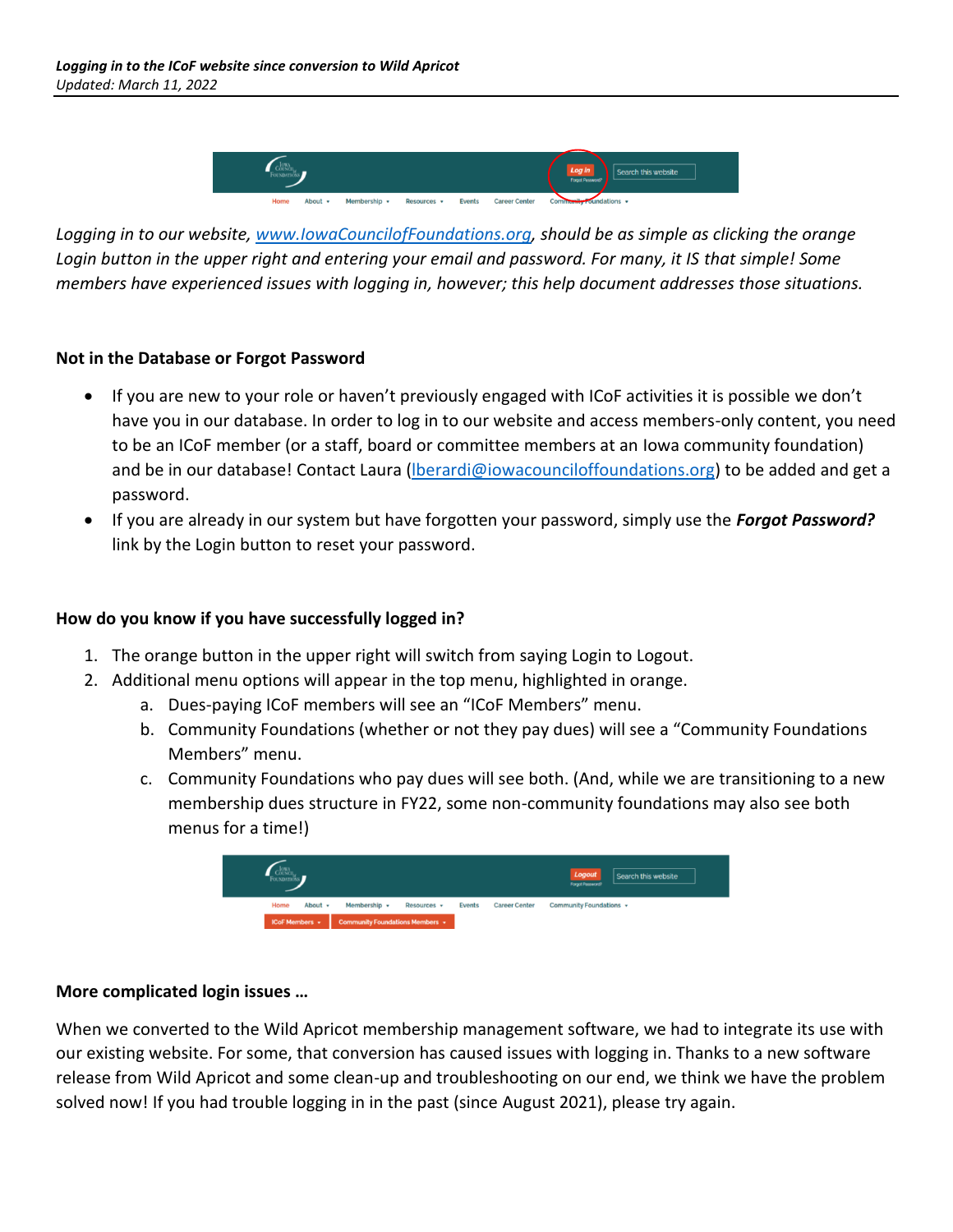

*Logging in to our website, [www.IowaCouncilofFoundations.org,](http://www.iowacounciloffoundations.org/) should be as simple as clicking the orange Login button in the upper right and entering your email and password. For many, it IS that simple! Some members have experienced issues with logging in, however; this help document addresses those situations.*

## **Not in the Database or Forgot Password**

- If you are new to your role or haven't previously engaged with ICoF activities it is possible we don't have you in our database. In order to log in to our website and access members-only content, you need to be an ICoF member (or a staff, board or committee members at an Iowa community foundation) and be in our database! Contact Laura (*lberardi@iowacounciloffoundations.org*) to be added and get a password.
- If you are already in our system but have forgotten your password, simply use the *Forgot Password?* link by the Login button to reset your password.

## **How do you know if you have successfully logged in?**

- 1. The orange button in the upper right will switch from saying Login to Logout.
- 2. Additional menu options will appear in the top menu, highlighted in orange.
	- a. Dues-paying ICoF members will see an "ICoF Members" menu.
	- b. Community Foundations (whether or not they pay dues) will see a "Community Foundations Members" menu.
	- c. Community Foundations who pay dues will see both. (And, while we are transitioning to a new membership dues structure in FY22, some non-community foundations may also see both menus for a time!)



## **More complicated login issues …**

When we converted to the Wild Apricot membership management software, we had to integrate its use with our existing website. For some, that conversion has caused issues with logging in. Thanks to a new software release from Wild Apricot and some clean-up and troubleshooting on our end, we think we have the problem solved now! If you had trouble logging in in the past (since August 2021), please try again.